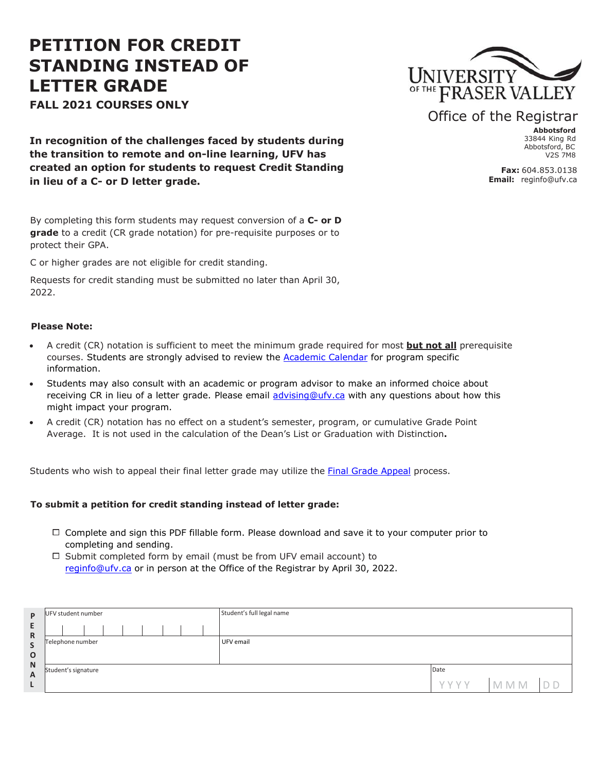# **PETITION FOR CREDIT STANDING INSTEAD OF LETTER GRADE**

**FALL 2021 COURSES ONLY**



## Office of the Registrar

**Abbotsford** 33844 King Rd Abbotsford, BC  $V2S$  7M8

**Fax:** 604.853.0138 **Email:** reginfo[@ufv.ca](mailto:regappeals@ufv.ca)

**In recognition of the challenges faced by students during the transition to remote and on-line learning, UFV has created an option for students to request Credit Standing in lieu of a C- or D letter grade.**

By completing this form students may request conversion of a **C- or D grade** to a credit (CR grade notation) for pre-requisite purposes or to protect their GPA.

C or higher grades are not eligible for credit standing.

Requests for credit standing must be submitted no later than April 30, 2022.

### **Please Note:**

- A credit (CR) notation is sufficient to meet the minimum grade required for most **but not all** prerequisite courses. Students are strongly advised to review the [Academic](https://www.ufv.ca/calendar/current/) Calendar for program specific information.
- Students may also consult with an academic or program advisor to make an informed choice about receiving CR in lieu of a letter grade. Please email [advising@ufv.ca](mailto:advising@ufv.ca) with any questions about how this might impact your program.
- A credit (CR) notation has no effect on a student's semester, program, or cumulative Grade Point Average. It is not used in the calculation of the Dean's List or Graduation with Distinction**.**

Students who wish to appeal their final letter grade may utilize the Final Grade [Appeal](https://www.ufv.ca/ai/appeals/final-grade-appeal/) process.

### **To submit a petition for credit standing instead of letter grade:**

- $\Box$  Complete and sign this PDF fillable form. Please download and save it to your computer prior to completing and sending.
- $\Box$  Submit completed form by email (must be from UFV email account) to reginfo[@ufv.ca](mailto: reginfo@ufv.ca) or in person at the Office of the Registrar by April 30, 2022.

| P                 | UFV student number  | Student's full legal name |      |            |  |
|-------------------|---------------------|---------------------------|------|------------|--|
| E<br>$\mathsf{R}$ |                     |                           |      |            |  |
| $\mathsf{S}$      | Telephone number    | UFV email                 |      |            |  |
| $\mathbf{o}$      |                     |                           |      |            |  |
| ${\sf N}$<br>A    | Student's signature |                           | Date |            |  |
| υ                 |                     |                           | YYYY | <b>MMM</b> |  |